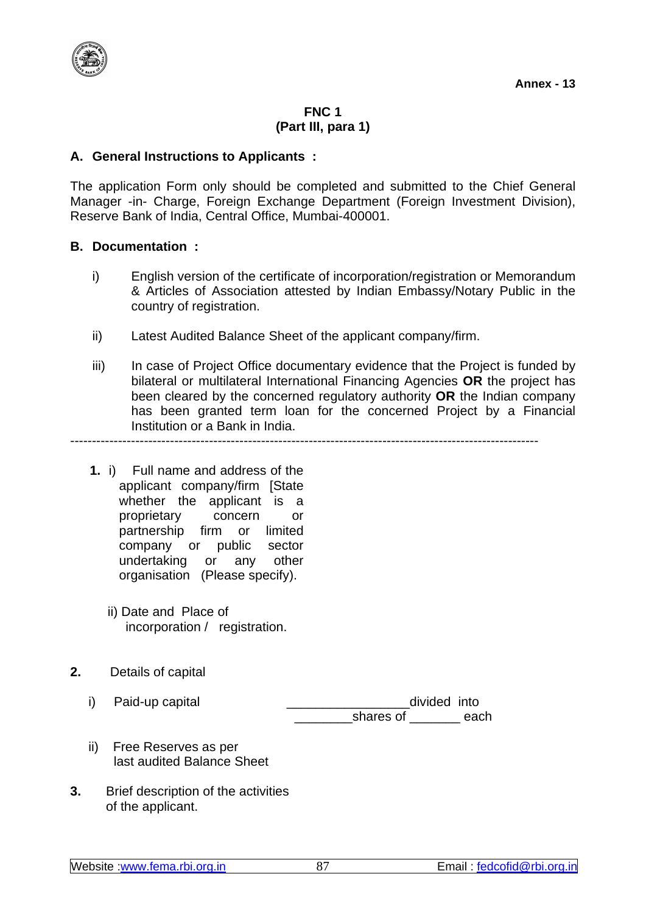

# **FNC 1 (Part III, para 1)**

## **A. General Instructions to Applicants :**

The application Form only should be completed and submitted to the Chief General Manager -in- Charge, Foreign Exchange Department (Foreign Investment Division), Reserve Bank of India, Central Office, Mumbai-400001.

## **B. Documentation :**

- i) English version of the certificate of incorporation/registration or Memorandum & Articles of Association attested by Indian Embassy/Notary Public in the country of registration.
- ii) Latest Audited Balance Sheet of the applicant company/firm.
- iii) In case of Project Office documentary evidence that the Project is funded by bilateral or multilateral International Financing Agencies **OR** the project has been cleared by the concerned regulatory authority **OR** the Indian company has been granted term loan for the concerned Project by a Financial Institution or a Bank in India.

------------------------------------------------------------------------------------------------------------

- **1.** i) Full name and address of the applicant company/firm [State whether the applicant is a proprietary concern or partnership firm or limited company or public sector undertaking or any other organisation (Please specify).
	- ii) Date and Place of incorporation / registration.
- **2.** Details of capital
	-

i) Paid-up capital  $\qquad \qquad \qquad$  \_\_\_\_\_\_\_\_\_\_\_\_\_\_\_\_\_\_\_\_divided into shares of **the each** 

- ii) Free Reserves as per last audited Balance Sheet
- **3.** Brief description of the activities of the applicant.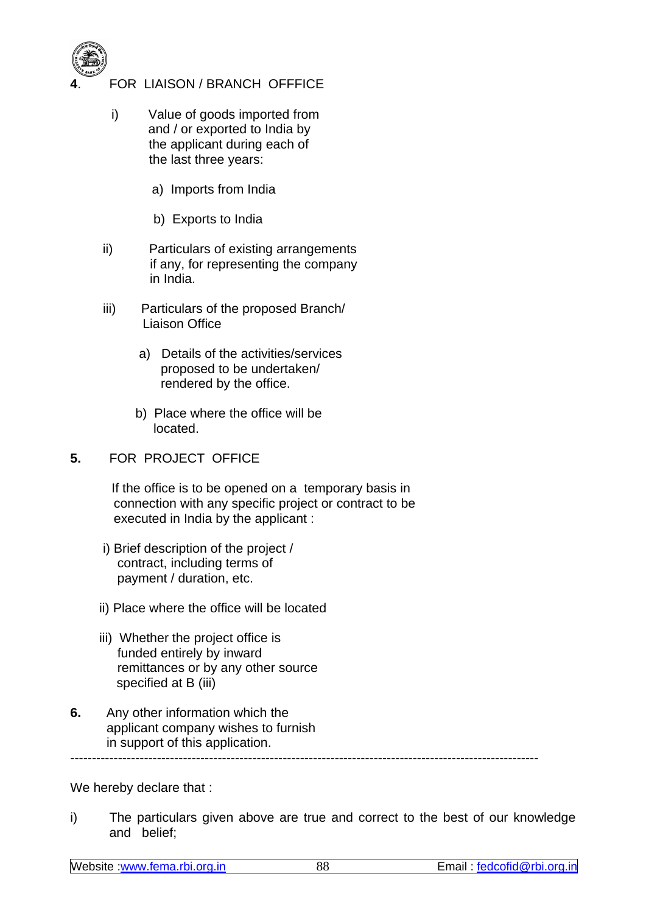

- **4**. FOR LIAISON / BRANCH OFFFICE
	- i) Value of goods imported from and / or exported to India by the applicant during each of the last three years:
		- a) Imports from India
		- b) Exports to India
	- ii)Particulars of existing arrangements if any, for representing the company in India.
	- iii) Particulars of the proposed Branch/ Liaison Office
		- a) Details of the activities/services proposed to be undertaken/ rendered by the office.
		- b) Place where the office will be located.
- **5.** FOR PROJECT OFFICE

 If the office is to be opened on a temporary basis in connection with any specific project or contract to be executed in India by the applicant :

- i) Brief description of the project / contract, including terms of payment / duration, etc.
- ii) Place where the office will be located
- iii) Whether the project office is funded entirely by inward remittances or by any other source specified at B (iii)
- **6.** Any other information which the applicant company wishes to furnish in support of this application.

------------------------------------------------------------------------------------------------------------

We hereby declare that :

i) The particulars given above are true and correct to the best of our knowledge and belief;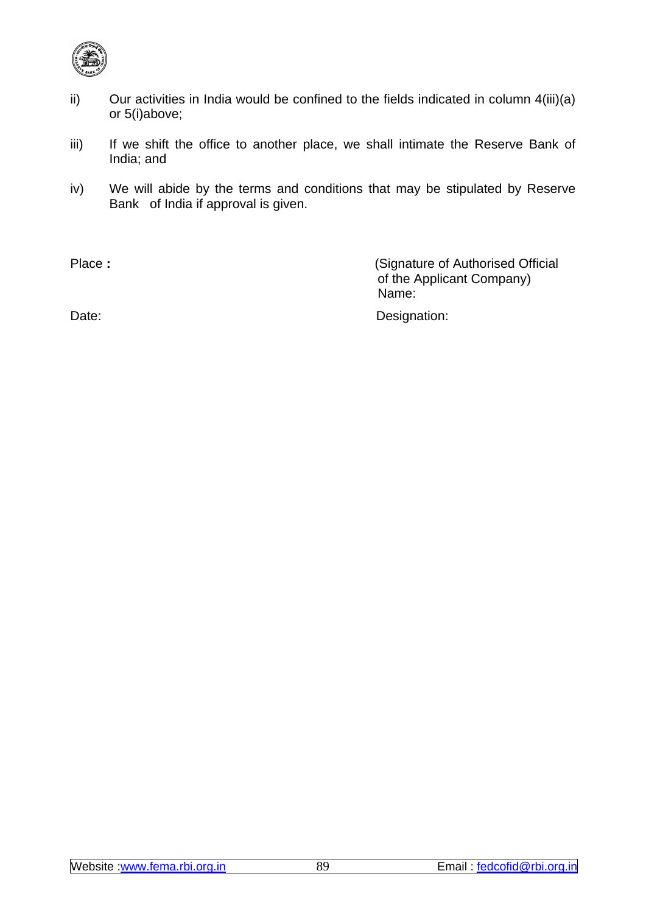

- ii) Our activities in India would be confined to the fields indicated in column  $4(iii)(a)$ or 5(i)above;
- iii) If we shift the office to another place, we shall intimate the Reserve Bank of India; and
- iv) We will abide by the terms and conditions that may be stipulated by Reserve Bank of India if approval is given.

Date: Date: Designation: Designation:

Place : **Place** : *Place* : *Place* : *Place* : *Place* : *Place* : *Place* : *Place* : *Place* : *Place* : *Place* : *Place* : *Place* : *Place* : *Place* : *Place* : *Place* : *Place* : of the Applicant Company) Name: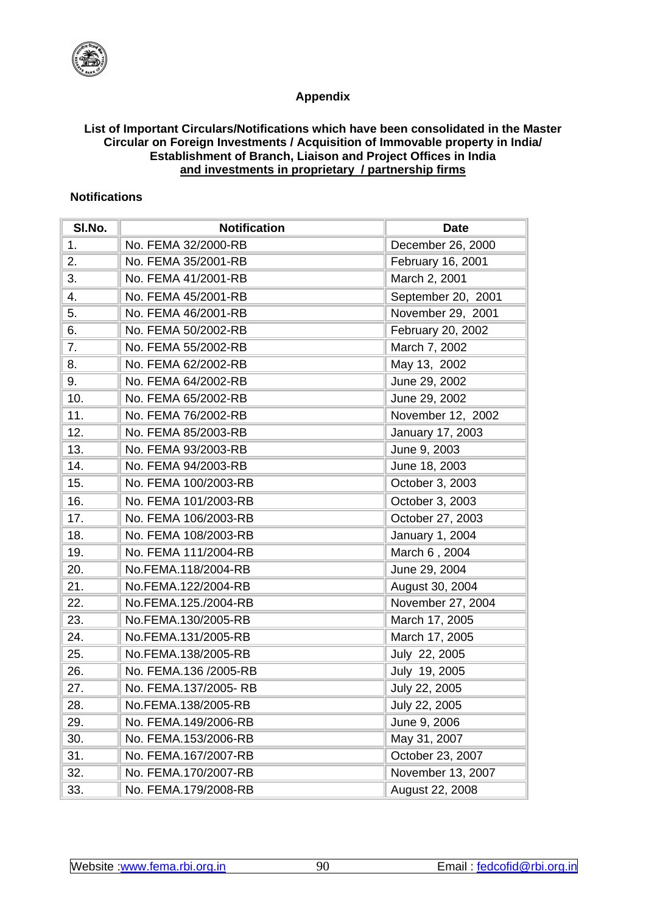

### **Appendix**

#### **List of Important Circulars/Notifications which have been consolidated in the Master Circular on Foreign Investments / Acquisition of Immovable property in India/ Establishment of Branch, Liaison and Project Offices in India and investments in proprietary / partnership firms**

## **Notifications**

| SI.No. | <b>Notification</b>   | <b>Date</b>        |
|--------|-----------------------|--------------------|
| 1.     | No. FEMA 32/2000-RB   | December 26, 2000  |
| 2.     | No. FEMA 35/2001-RB   | February 16, 2001  |
| 3.     | No. FEMA 41/2001-RB   | March 2, 2001      |
| 4.     | No. FEMA 45/2001-RB   | September 20, 2001 |
| 5.     | No. FEMA 46/2001-RB   | November 29, 2001  |
| 6.     | No. FEMA 50/2002-RB   | February 20, 2002  |
| 7.     | No. FEMA 55/2002-RB   | March 7, 2002      |
| 8.     | No. FEMA 62/2002-RB   | May 13, 2002       |
| 9.     | No. FEMA 64/2002-RB   | June 29, 2002      |
| 10.    | No. FEMA 65/2002-RB   | June 29, 2002      |
| 11.    | No. FEMA 76/2002-RB   | November 12, 2002  |
| 12.    | No. FEMA 85/2003-RB   | January 17, 2003   |
| 13.    | No. FEMA 93/2003-RB   | June 9, 2003       |
| 14.    | No. FEMA 94/2003-RB   | June 18, 2003      |
| 15.    | No. FEMA 100/2003-RB  | October 3, 2003    |
| 16.    | No. FEMA 101/2003-RB  | October 3, 2003    |
| 17.    | No. FEMA 106/2003-RB  | October 27, 2003   |
| 18.    | No. FEMA 108/2003-RB  | January 1, 2004    |
| 19.    | No. FEMA 111/2004-RB  | March 6, 2004      |
| 20.    | No.FEMA.118/2004-RB   | June 29, 2004      |
| 21.    | No.FEMA.122/2004-RB   | August 30, 2004    |
| 22.    | No.FEMA.125./2004-RB  | November 27, 2004  |
| 23.    | No.FEMA.130/2005-RB   | March 17, 2005     |
| 24.    | No.FEMA.131/2005-RB   | March 17, 2005     |
| 25.    | No.FEMA.138/2005-RB   | July 22, 2005      |
| 26.    | No. FEMA.136 /2005-RB | July 19, 2005      |
| 27.    | No. FEMA.137/2005-RB  | July 22, 2005      |
| 28.    | No.FEMA.138/2005-RB   | July 22, 2005      |
| 29.    | No. FEMA.149/2006-RB  | June 9, 2006       |
| 30.    | No. FEMA.153/2006-RB  | May 31, 2007       |
| 31.    | No. FEMA.167/2007-RB  | October 23, 2007   |
| 32.    | No. FEMA.170/2007-RB  | November 13, 2007  |
| 33.    | No. FEMA.179/2008-RB  | August 22, 2008    |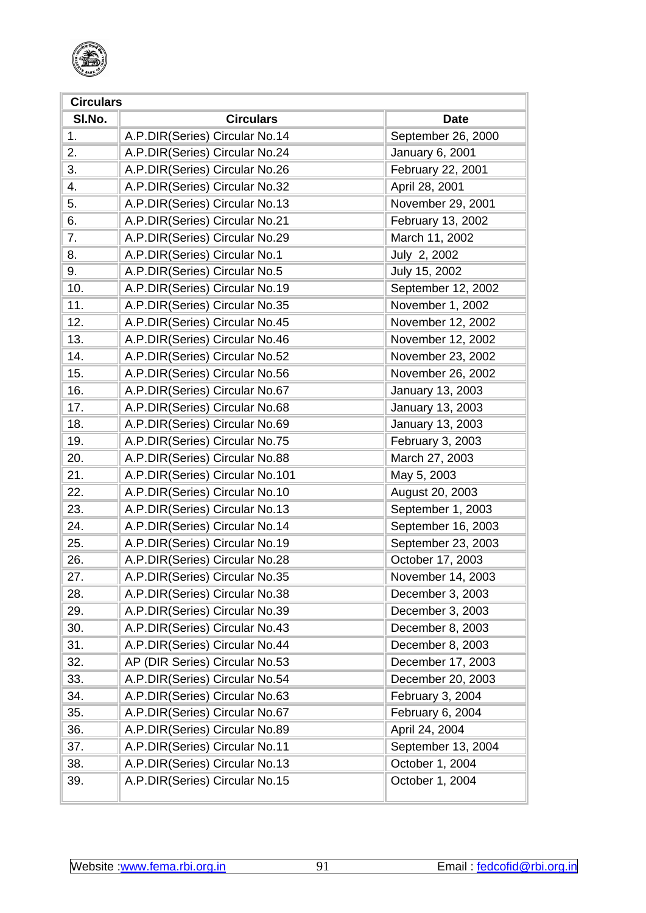

| <b>Circulars</b> |                                 |                    |  |  |
|------------------|---------------------------------|--------------------|--|--|
| SI.No.           | <b>Circulars</b>                | <b>Date</b>        |  |  |
| 1.               | A.P.DIR(Series) Circular No.14  | September 26, 2000 |  |  |
| 2.               | A.P.DIR(Series) Circular No.24  | January 6, 2001    |  |  |
| 3.               | A.P.DIR(Series) Circular No.26  | February 22, 2001  |  |  |
| 4.               | A.P.DIR(Series) Circular No.32  | April 28, 2001     |  |  |
| 5.               | A.P.DIR(Series) Circular No.13  | November 29, 2001  |  |  |
| 6.               | A.P.DIR(Series) Circular No.21  | February 13, 2002  |  |  |
| 7.               | A.P.DIR(Series) Circular No.29  | March 11, 2002     |  |  |
| 8.               | A.P.DIR(Series) Circular No.1   | July 2, 2002       |  |  |
| 9.               | A.P.DIR(Series) Circular No.5   | July 15, 2002      |  |  |
| 10.              | A.P.DIR(Series) Circular No.19  | September 12, 2002 |  |  |
| 11.              | A.P.DIR(Series) Circular No.35  | November 1, 2002   |  |  |
| 12.              | A.P.DIR(Series) Circular No.45  | November 12, 2002  |  |  |
| 13.              | A.P.DIR(Series) Circular No.46  | November 12, 2002  |  |  |
| 14.              | A.P.DIR(Series) Circular No.52  | November 23, 2002  |  |  |
| 15.              | A.P.DIR(Series) Circular No.56  | November 26, 2002  |  |  |
| 16.              | A.P.DIR(Series) Circular No.67  | January 13, 2003   |  |  |
| 17.              | A.P.DIR(Series) Circular No.68  | January 13, 2003   |  |  |
| 18.              | A.P.DIR(Series) Circular No.69  | January 13, 2003   |  |  |
| 19.              | A.P.DIR(Series) Circular No.75  | February 3, 2003   |  |  |
| 20.              | A.P.DIR(Series) Circular No.88  | March 27, 2003     |  |  |
| 21.              | A.P.DIR(Series) Circular No.101 | May 5, 2003        |  |  |
| 22.              | A.P.DIR(Series) Circular No.10  | August 20, 2003    |  |  |
| 23.              | A.P.DIR(Series) Circular No.13  | September 1, 2003  |  |  |
| 24.              | A.P.DIR(Series) Circular No.14  | September 16, 2003 |  |  |
| 25.              | A.P.DIR(Series) Circular No.19  | September 23, 2003 |  |  |
| 26.              | A.P.DIR(Series) Circular No.28  | October 17, 2003   |  |  |
| 27.              | A.P.DIR(Series) Circular No.35  | November 14, 2003  |  |  |
| 28.              | A.P.DIR(Series) Circular No.38  | December 3, 2003   |  |  |
| 29.              | A.P.DIR(Series) Circular No.39  | December 3, 2003   |  |  |
| 30.              | A.P.DIR(Series) Circular No.43  | December 8, 2003   |  |  |
| 31.              | A.P.DIR(Series) Circular No.44  | December 8, 2003   |  |  |
| 32.              | AP (DIR Series) Circular No.53  | December 17, 2003  |  |  |
| 33.              | A.P.DIR(Series) Circular No.54  | December 20, 2003  |  |  |
| 34.              | A.P.DIR(Series) Circular No.63  | February 3, 2004   |  |  |
| 35.              | A.P.DIR(Series) Circular No.67  | February 6, 2004   |  |  |
| 36.              | A.P.DIR(Series) Circular No.89  | April 24, 2004     |  |  |
| 37.              | A.P.DIR(Series) Circular No.11  | September 13, 2004 |  |  |
| 38.              | A.P.DIR(Series) Circular No.13  | October 1, 2004    |  |  |
| 39.              | A.P.DIR(Series) Circular No.15  | October 1, 2004    |  |  |